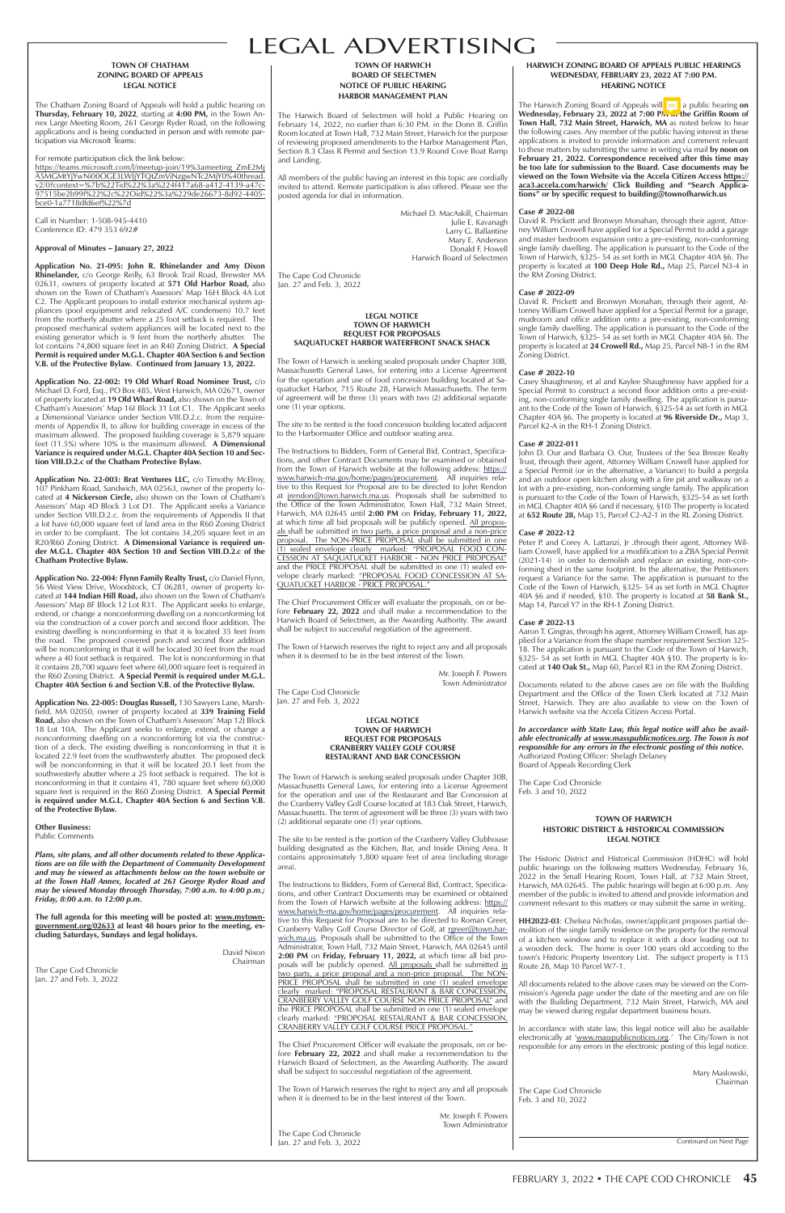# LEGAL ADVERTISING

#### **TOWN OF CHATHAM ZONING BOARD OF APPEALS LEGAL NOTICE**

The Chatham Zoning Board of Appeals will hold a public hearing on **Thursday, February 10, 2022**, starting at **4:00 PM,** in the Town Annex Large Meeting Room, 261 George Ryder Road, on the following applications and is being conducted in person and with remote participation via Microsoft Teams:

https://teams.microsoft.com/l/meetup-join/19%3ameeting\_ZmE2Mj A5MGMtYjYwNi00OGE3LWJjYTQtZmViNzgwNTc2MjY0%40thread. v2/0?context=%7b%22Tid%22%3a%224f417a68-a412-4139-a47c-97515be2b99f%22%2c%22Oid%22%3a%229de26673-8d92-4405 bce0-1a7718dfd6ef%22%7d

For remote participation click the link below:

Call in Number: 1-508-945-4410 Conference ID: 479 353 692#

#### **Approval of Minutes – January 27, 2022**

 **Application No. 21-095: John R. Rhinelander and Amy Dixon Rhinelander,** c/o George Reilly, 63 Brook Trail Road, Brewster MA 02631, owners of property located at **571 Old Harbor Road,** also shown on the Town of Chatham's Assessors' Map 16H Block 4A Lot C2. The Applicant proposes to install exterior mechanical system appliances (pool equipment and relocated A/C condensers) 10.7 feet from the northerly abutter where a 25 foot setback is required. The proposed mechanical system appliances will be located next to the existing generator which is 9 feet from the northerly abutter. The lot contains 74,800 square feet in an R40 Zoning District. **A Special Permit is required under M.G.L. Chapter 40A Section 6 and Section V.B. of the Protective Bylaw. Continued from January 13, 2022.**

**Application No. 22-002: 19 Old Wharf Road Nominee Trust,** c/o Michael D. Ford, Esq., PO Box 485, West Harwich, MA 02671, owner of property located at **19 Old Wharf Road,** also shown on the Town of Chatham's Assessors' Map 16I Block 31 Lot C1. The Applicant seeks a Dimensional Variance under Section VIII.D.2.c. from the requirements of Appendix II, to allow for building coverage in excess of the maximum allowed. The proposed building coverage is 5,879 square feet (11.5%) where 10% is the maximum allowed. **A Dimensional Variance is required under M.G.L. Chapter 40A Section 10 and Section VIII.D.2.c of the Chatham Protective Bylaw.**

**Application No. 22-003: Brat Ventures LLC,** c/o Timothy McElroy, 107 Pinkham Road, Sandwich, MA 02563, owner of the property located at **4 Nickerson Circle,** also shown on the Town of Chatham's Assessors' Map 4D Block 3 Lot D1. The Applicant seeks a Variance under Section VIII.D.2.c. from the requirements of Appendix II that a lot have 60,000 square feet of land area in the R60 Zoning District in order to be compliant. The lot contains 34,205 square feet in an R20/R60 Zoning District. **A Dimensional Variance is required under M.G.L. Chapter 40A Section 10 and Section VIII.D.2.c of the Chatham Protective Bylaw.** 

 **Application No. 22-004: Flynn Family Realty Trust,** c/o Daniel Flynn, 56 West View Drive, Woodstock, CT 06281, owner of property located at **144 Indian Hill Road,** also shown on the Town of Chatham's Assessors' Map 8F Block 12 Lot R31. The Applicant seeks to enlarge, extend, or change a nonconforming dwelling on a nonconforming lot via the construction of a cover porch and second floor addition. The existing dwelling is nonconforming in that it is located 35 feet from the road. The proposed covered porch and second floor addition will be nonconforming in that it will be located 30 feet from the road where a 40 foot setback is required. The lot is nonconforming in that it contains 28,700 square feet where 60,000 square feet is required in the R60 Zoning District. **A Special Permit is required under M.G.L. Chapter 40A Section 6 and Section V.B. of the Protective Bylaw.** 

**Application No. 22-005: Douglas Russell,** 130 Sawyers Lane, Marshfield, MA 02050, owner of property located at **339 Training Field Road,** also shown on the Town of Chatham's Assessors' Map 12J Block 18 Lot 10A. The Applicant seeks to enlarge, extend, or change a nonconforming dwelling on a nonconforming lot via the construction of a deck. The existing dwelling is nonconforming in that it is located 22.9 feet from the southwesterly abutter. The proposed deck will be nonconforming in that it will be located 20.1 feet from the southwesterly abutter where a 25 foot setback is required. The lot is nonconforming in that it contains 41, 780 square feet where 60,000 square feet is required in the R60 Zoning District. **A Special Permit is required under M.G.L. Chapter 40A Section 6 and Section V.B. of the Protective Bylaw.** 

#### **Other Business:** Public Comments

#### **TOWN OF HARWICH BOARD OF SELECTMEN NOTICE OF PUBLIC HEARING HARBOR MANAGEMENT PLAN**

The Harwich Board of Selectmen will hold a Public Hearing on February 14, 2022, no earlier than 6:30 P.M. in the Donn B. Griffin Room located at Town Hall, 732 Main Street, Harwich for the purpose of reviewing proposed amendments to the Harbor Management Plan, Section 8.3 Class R Permit and Section 13.9 Round Cove Boat Ramp and Landing.

**The Harwich Zoning Board of Appeals will**  $\equiv$  **a public hearing on Wednesday, February 23, 2022 at 7:00 PM in the Griffin Room of Town Hall, 732 Main Street, Harwich, MA** as noted below to hear the following cases. Any member of the public having interest in these applications is invited to provide information and comment relevant to these matters by submitting the same in writing via mail **by noon on February 21, 2022. Correspondence received after this time may be too late for submission to the Board. Case documents may be viewed on the Town Website via the Accela Citizen Access https:// aca3.accela.com/harwich/ Click Building and "Search Applications" or by specific request to building@townofharwich.us**

All members of the public having an interest in this topic are cordially invited to attend. Remote participation is also offered. Please see the posted agenda for dial in information.

> Michael D. MacAskill, Chairman Julie E. Kavanagh Larry G. Ballantine Mary E. Anderson Donald F. Howell Harwich Board of Selectmen

The Cape Cod Chronicle Jan. 27 and Feb. 3, 2022

#### **LEGAL NOTICE TOWN OF HARWICH REQUEST FOR PROPOSALS CRANBERRY VALLEY GOLF COURSE RESTAURANT AND BAR CONCESSION**

The Town of Harwich is seeking sealed proposals under Chapter 30B, Massachusetts General Laws, for entering into a License Agreement for the operation and use of the Restaurant and Bar Concession at the Cranberry Valley Golf Course located at 183 Oak Street, Harwich, Massachusetts. The term of agreement will be three (3) years with two (2) additional separate one (1) year options.

John D. Our and Barbara O. Our, Trustees of the Sea Breeze Realty Trust, through their agent, Attorney William Crowell have applied for a Special Permit (or in the alternative, a Variance) to build a pergola and an outdoor open kitchen along with a fire pit and walkway on a lot with a pre-existing, non-conforming single family. The application is pursuant to the Code of the Town of Harwich, §325-54 as set forth in MGL Chapter 40A §6 (and if necessary, §10) The property is located at **652 Route 28,** Map 15, Parcel C2-A2-1 in the RL Zoning District.

The site to be rented is the portion of the Cranberry Valley Clubhouse building designated as the Kitchen, Bar, and Inside Dining Area. It

#### **LEGAL NOTICE TOWN OF HARWICH REQUEST FOR PROPOSALS SAQUATUCKET HARBOR WATERFRONT SNACK SHACK**

The Town of Harwich is seeking sealed proposals under Chapter 30B, Massachusetts General Laws, for entering into a License Agreement for the operation and use of food concession building located at Saquatucket Harbor, 715 Route 28, Harwich Massachusetts. The term of agreement will be three (3) years with two (2) additional separate one (1) year options.

The site to be rented is the food concession building located adjacent to the Harbormaster Office and outdoor seating area.

The Instructions to Bidders, Form of General Bid, Contract, Specifications, and other Contract Documents may be examined or obtained from the Town of Harwich website at the following address: https:// www.harwich-ma.gov/home/pages/procurement. All inquiries relative to this Request for Proposal are to be directed to John Rendon at jrendon@town.harwich.ma.us. Proposals shall be submitted to the Office of the Town Administrator, Town Hall, 732 Main Street, Harwich, MA 02645 until **2:00 PM** on **Friday, February 11, 2022,**  at which time all bid proposals will be publicly opened. <u>All propos-</u> als shall be submitted in two parts, a price proposal and a non-price proposal. The NON-PRICE PROPOSAL shall be submitted in one (1) sealed envelope clearly marked: "PROPOSAL FOOD CON-CESSION AT SAQUATUCKET HARBOR - NON PRICE PROPOSAL" and the PRICE PROPOSAL shall be submitted in one (1) sealed envelope clearly marked: "PROPOSAL FOOD CONCESSION AT SA-QUATUCKET HARBOR - PRICE PROPOSAL."

The Chief Procurement Officer will evaluate the proposals, on or before **February 22, 2022** and shall make a recommendation to the Harwich Board of Selectmen, as the Awarding Authority. The award shall be subject to successful negotiation of the agreement.

The Town of Harwich reserves the right to reject any and all proposals when it is deemed to be in the best interest of the Town.

*Plans, site plans, and all other documents related to these Applications are on file with the Department of Community Development and may be viewed as attachments below on the town website or at the Town Hall Annex, located at 261 George Ryder Road and may be viewed Monday through Thursday, 7:00 a.m. to 4:00 p.m.; Friday, 8:00 a.m. to 12:00 p.m.* **The full agenda for this meeting will be posted at: www.mytowngovernment.org/02633 at least 48 hours prior to the meeting, excluding Saturdays, Sundays and legal holidays.** David Nixon Chairman The Cape Cod Chronicle Jan. 27 and Feb. 3, 2022 contains approximately 1,800 square feet of area (including storage area). The Instructions to Bidders, Form of General Bid, Contract, Specifications, and other Contract Documents may be examined or obtained from the Town of Harwich website at the following address: https:// www.harwich-ma.gov/home/pages/procurement. All inquiries relative to this Request for Proposal are to be directed to Roman Greer, Cranberry Valley Golf Course Director of Golf, at rever@town.harwich.ma.us. Proposals shall be submitted to the Office of the Town Administrator, Town Hall, 732 Main Street, Harwich, MA 02645 until **2:00 PM** on **Friday, February 11, 2022,** at which time all bid proposals will be publicly opened. All proposals shall be submitted in two parts, a price proposal and a non-price proposal. The NON-PRICE PROPOSAL shall be submitted in one (1) sealed envelope clearly marked: "PROPOSAL RESTAURANT & BAR CONCESSION, CRANBERRY VALLEY GOLF COURSE NON PRICE PROPOSAL" and the PRICE PROPOSAL shall be submitted in one (1) sealed envelope clearly marked: "PROPOSAL RESTAURANT & BAR CONCESSION, CRANBERRY VALLEY GOLF COURSE PRICE PROPOSAL." The Chief Procurement Officer will evaluate the proposals, on or before **February 22, 2022** and shall make a recommendation to the Harwich Board of Selectmen, as the Awarding Authority. The award shall be subject to successful negotiation of the agreement. The Town of Harwich reserves the right to reject any and all proposals when it is deemed to be in the best interest of the Town. Mr. Joseph F. Powers Town Administrator The Cape Cod Chronicle Jan. 27 and Feb. 3, 2022 Route 28, Map 10 Parcel W7-1. The Cape Cod Chronicle Feb. 3 and 10, 2022

Mr. Joseph F. Powers Town Administrator

The Cape Cod Chronicle Jan. 27 and Feb. 3, 2022

#### **HARWICH ZONING BOARD OF APPEALS PUBLIC HEARINGS WEDNESDAY, FEBRUARY 23, 2022 AT 7:00 P.M. HEARING NOTICE**

#### **Case # 2022-08**

David R. Prickett and Bronwyn Monahan, through their agent, Attorney William Crowell have applied for a Special Permit to add a garage and master bedroom expansion onto a pre-existing, non-conforming single family dwelling. The application is pursuant to the Code of the Town of Harwich, §325- 54 as set forth in MGL Chapter 40A §6. The property is located at **100 Deep Hole Rd.,** Map 25, Parcel N3-4 in the RM Zoning District.

## **Case # 2022-09**

David R. Prickett and Bronwyn Monahan, through their agent, Attorney William Crowell have applied for a Special Permit for a garage, mudroom and office addition onto a pre-existing, non-conforming single family dwelling. The application is pursuant to the Code of the Town of Harwich, §325- 54 as set forth in MGL Chapter 40A §6. The property is located at **24 Crowell Rd.,** Map 25, Parcel N8-1 in the RM Zoning District.

#### **Case # 2022-10**

Casey Shaughnessy, et al and Kaylee Shaughnessy have applied for a Special Permit to construct a second floor addition onto a pre-existing, non-conforming single family dwelling. The application is pursuant to the Code of the Town of Harwich, §325-54 as set forth in MGL Chapter 40A §6. The property is located at **96 Riverside Dr.,** Map 3, Parcel K2-A in the RH-1 Zoning District.

## **Case # 2022-011**

#### **Case # 2022-12**

Peter P. and Corey A. Lattanzi, Jr .through their agent, Attorney William Crowell, have applied for a modification to a ZBA Special Permit (2021-14) in order to demolish and replace an existing, non-conforming shed in the same footprint. In the alternative, the Petitioners request a Variance for the same. The application is pursuant to the Code of the Town of Harwich, §325- 54 as set forth in MGL Chapter 40A §6 and if needed, §10. The property is located at **58 Bank St.,** Map 14, Parcel Y7 in the RH-1 Zoning District.

# **Case # 2022-13**

Aaron T. Gingras, through his agent, Attorney William Crowell, has applied for a Variance from the shape number requirement Section 325- 18. The application is pursuant to the Code of the Town of Harwich, §325- 54 as set forth in MGL Chapter 40A §10. The property is located at **140 Oak St.,** Map 60, Parcel R3 in the RM Zoning District.

Documents related to the above cases are on file with the Building Department and the Office of the Town Clerk located at 732 Main Street, Harwich. They are also available to view on the Town of Harwich website via the Accela Citizen Access Portal.

*In accordance with State Law, this legal notice will also be available electronically at www.masspublicnotices.org. The Town is not responsible for any errors in the electronic posting of this notice.* Authorized Posting Officer: Shelagh Delaney Board of Appeals Recording Clerk

The Cape Cod Chronicle Feb. 3 and 10, 2022

#### **TOWN OF HARWICH HISTORIC DISTRICT & HISTORICAL COMMISSION LEGAL NOTICE**

The Historic District and Historical Commission (HDHC) will hold public hearings on the following matters Wednesday, February 16, 2022 in the Small Hearing Room, Town Hall, at 732 Main Street, Harwich, MA 02645. The public hearings will begin at 6:00 p.m. Any member of the public is invited to attend and provide information and comment relevant to this matters or may submit the same in writing. **HH2022-03**: Chelsea Nicholas, owner/applicant proposes partial demolition of the single family residence on the property for the removal of a kitchen window and to replace it with a door leading out to a wooden deck. The home is over 100 years old according to the town's Historic Property Inventory List. The subject property is 115 All documents related to the above cases may be viewed on the Commission's Agenda page under the date of the meeting and are on file with the Building Department, 732 Main Street, Harwich, MA and may be viewed during regular department business hours. In accordance with state law, this legal notice will also be available electronically at 'www.masspublicnotices.org.' The City/Town is not responsible for any errors in the electronic posting of this legal notice. Mary Maslowski, Chairman Continued on Next Page

| they be rietred monday an ough rharbaay rive anni to 1100 pinny |  |  |
|-----------------------------------------------------------------|--|--|
| Friday, 8:00 a.m. to 12:00 p.m.                                 |  |  |